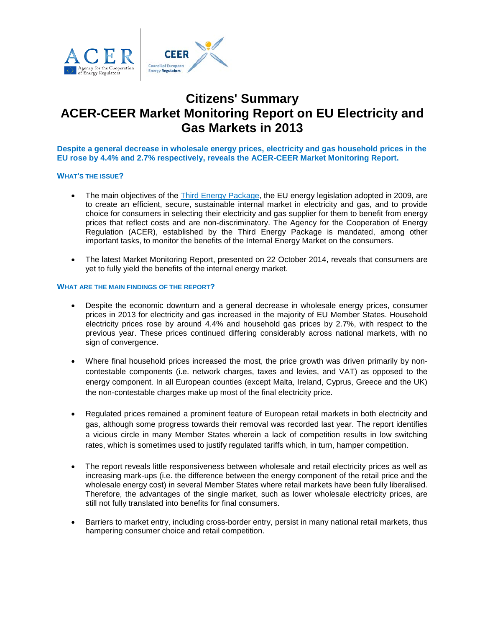

# **Citizens' Summary ACER-CEER Market Monitoring Report on EU Electricity and Gas Markets in 2013**

**Despite a general decrease in wholesale energy prices, electricity and gas household prices in the EU rose by 4.4% and 2.7% respectively, reveals the ACER-CEER Market Monitoring Report.**

# **WHAT'S THE ISSUE?**

- The main objectives of the [Third Energy Package,](http://ec.europa.eu/energy/gas_electricity/legislation/legislation_en.htm) the EU energy legislation adopted in 2009, are to create an efficient, secure, sustainable internal market in electricity and gas, and to provide choice for consumers in selecting their electricity and gas supplier for them to benefit from energy prices that reflect costs and are non-discriminatory. The Agency for the Cooperation of Energy Regulation (ACER), established by the Third Energy Package is mandated, among other important tasks, to monitor the benefits of the Internal Energy Market on the consumers.
- The latest Market Monitoring Report, presented on 22 October 2014, reveals that consumers are yet to fully yield the benefits of the internal energy market.

# **WHAT ARE THE MAIN FINDINGS OF THE REPORT?**

- Despite the economic downturn and a general decrease in wholesale energy prices, consumer prices in 2013 for electricity and gas increased in the majority of EU Member States. Household electricity prices rose by around 4.4% and household gas prices by 2.7%, with respect to the previous year. These prices continued differing considerably across national markets, with no sign of convergence.
- Where final household prices increased the most, the price growth was driven primarily by noncontestable components (i.e. network charges, taxes and levies, and VAT) as opposed to the energy component. In all European counties (except Malta, Ireland, Cyprus, Greece and the UK) the non-contestable charges make up most of the final electricity price.
- Regulated prices remained a prominent feature of European retail markets in both electricity and gas, although some progress towards their removal was recorded last year. The report identifies a vicious circle in many Member States wherein a lack of competition results in low switching rates, which is sometimes used to justify regulated tariffs which, in turn, hamper competition.
- The report reveals little responsiveness between wholesale and retail electricity prices as well as increasing mark-ups (i.e. the difference between the energy component of the retail price and the wholesale energy cost) in several Member States where retail markets have been fully liberalised. Therefore, the advantages of the single market, such as lower wholesale electricity prices, are still not fully translated into benefits for final consumers.
- Barriers to market entry, including cross-border entry, persist in many national retail markets, thus hampering consumer choice and retail competition.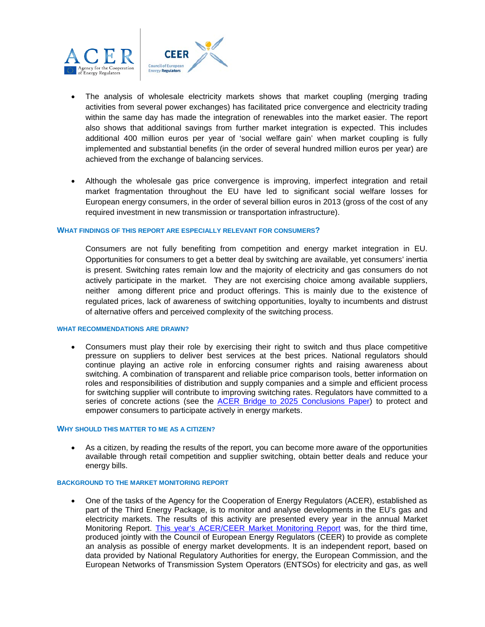

- The analysis of wholesale electricity markets shows that market coupling (merging trading activities from several power exchanges) has facilitated price convergence and electricity trading within the same day has made the integration of renewables into the market easier. The report also shows that additional savings from further market integration is expected. This includes additional 400 million euros per year of 'social welfare gain' when market coupling is fully implemented and substantial benefits (in the order of several hundred million euros per year) are achieved from the exchange of balancing services.
- Although the wholesale gas price convergence is improving, imperfect integration and retail market fragmentation throughout the EU have led to significant social welfare losses for European energy consumers, in the order of several billion euros in 2013 (gross of the cost of any required investment in new transmission or transportation infrastructure).

## **WHAT FINDINGS OF THIS REPORT ARE ESPECIALLY RELEVANT FOR CONSUMERS?**

Consumers are not fully benefiting from competition and energy market integration in EU. Opportunities for consumers to get a better deal by switching are available, yet consumers' inertia is present. Switching rates remain low and the majority of electricity and gas consumers do not actively participate in the market. They are not exercising choice among available suppliers, neither among different price and product offerings. This is mainly due to the existence of regulated prices, lack of awareness of switching opportunities, loyalty to incumbents and distrust of alternative offers and perceived complexity of the switching process.

#### **WHAT RECOMMENDATIONS ARE DRAWN?**

• Consumers must play their role by exercising their right to switch and thus place competitive pressure on suppliers to deliver best services at the best prices. National regulators should continue playing an active role in enforcing consumer rights and raising awareness about switching. A combination of transparent and reliable price comparison tools, better information on roles and responsibilities of distribution and supply companies and a simple and efficient process for switching supplier will contribute to improving switching rates. Regulators have committed to a series of concrete actions (see the [ACER Bridge to 2025 Conclusions Paper\)](http://www.acer.europa.eu/Events/Presentation-of-ACERs-Conclusions-Paper-Energy-Regulation-A-Bridge-to-2025/default.aspx) to protect and empower consumers to participate actively in energy markets.

## **WHY SHOULD THIS MATTER TO ME AS A CITIZEN?**

• As a citizen, by reading the results of the report, you can become more aware of the opportunities available through retail competition and supplier switching, obtain better deals and reduce your energy bills.

## **BACKGROUND TO THE MARKET MONITORING REPORT**

• One of the tasks of the Agency for the Cooperation of Energy Regulators (ACER), established as part of the Third Energy Package, is to monitor and analyse developments in the EU's gas and electricity markets. The results of this activity are presented every year in the annual Market Monitoring Report. [This year's ACER/CEER Market Monitoring Report](http://www.acer.europa.eu/Official_documents/Acts_of_the_Agency/Publication/ACER_Market_Monitoring_Report_2014.pdf) was, for the third time, produced jointly with the Council of European Energy Regulators (CEER) to provide as complete an analysis as possible of energy market developments. It is an independent report, based on data provided by National Regulatory Authorities for energy, the European Commission, and the European Networks of Transmission System Operators (ENTSOs) for electricity and gas, as well